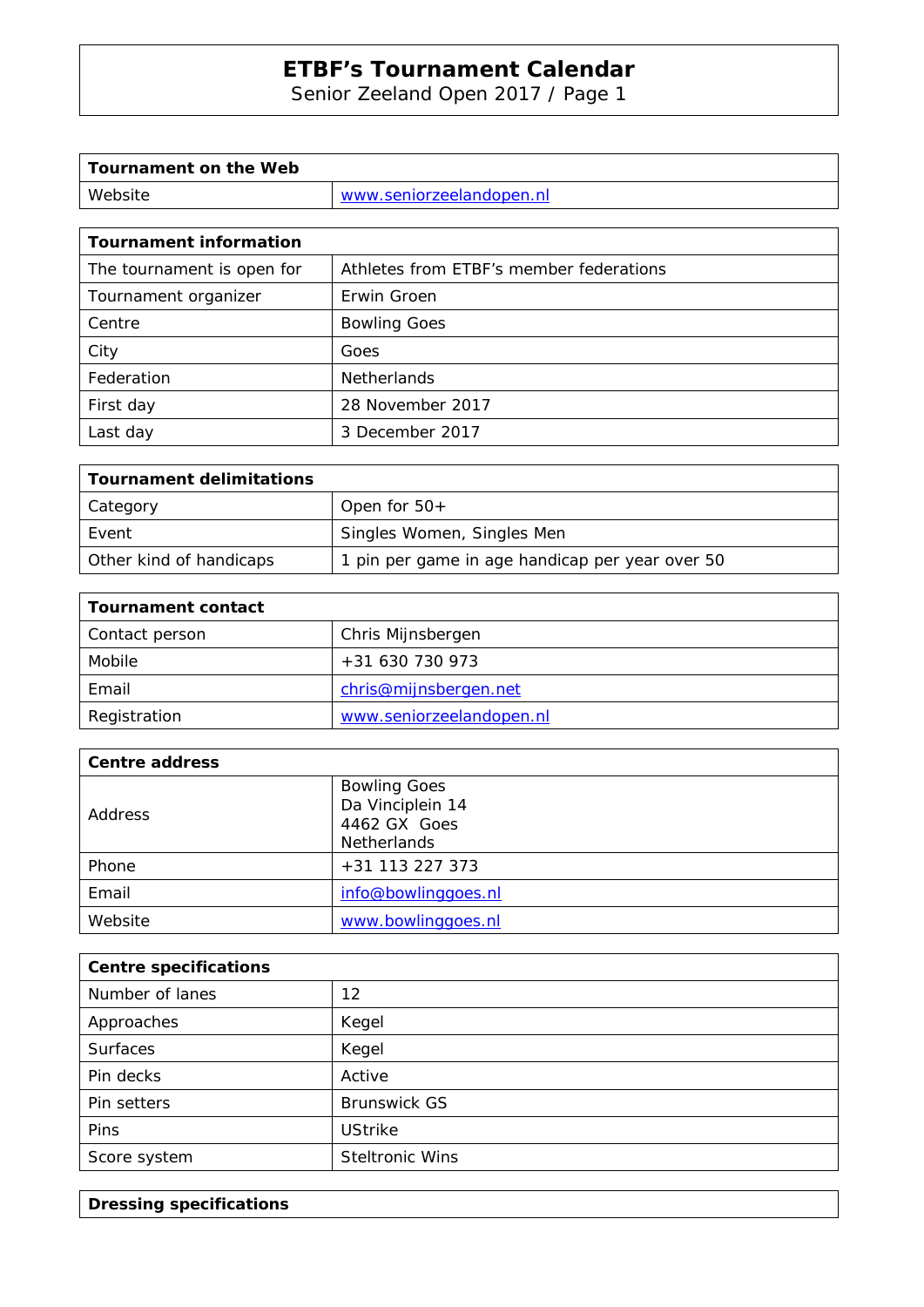Senior Zeeland Open 2017 / Page 1

| Tournament on the Web |                          |
|-----------------------|--------------------------|
| Website               | www.seniorzeelandopen.nl |

| <b>Tournament information</b> |                                         |  |  |  |
|-------------------------------|-----------------------------------------|--|--|--|
| The tournament is open for    | Athletes from ETBF's member federations |  |  |  |
| Tournament organizer          | Erwin Groen                             |  |  |  |
| Centre                        | <b>Bowling Goes</b>                     |  |  |  |
| City                          | Goes                                    |  |  |  |
| Federation                    | <b>Netherlands</b>                      |  |  |  |
| First day                     | 28 November 2017                        |  |  |  |
| Last day                      | 3 December 2017                         |  |  |  |

| Tournament delimitations |                                                 |
|--------------------------|-------------------------------------------------|
| Category                 | Open for $50+$                                  |
| Event                    | Singles Women, Singles Men                      |
| Other kind of handicaps  | 1 pin per game in age handicap per year over 50 |

| <b>Tournament contact</b> |                          |  |
|---------------------------|--------------------------|--|
| Contact person            | Chris Mijnsbergen        |  |
| Mobile                    | +31 630 730 973          |  |
| Email                     | chris@mijnsbergen.net    |  |
| Registration              | www.seniorzeelandopen.nl |  |

| <b>Centre address</b> |                     |  |  |
|-----------------------|---------------------|--|--|
| <b>Address</b>        | <b>Bowling Goes</b> |  |  |
|                       | Da Vinciplein 14    |  |  |
|                       | 4462 GX Goes        |  |  |
|                       | <b>Netherlands</b>  |  |  |
| Phone                 | +31 113 227 373     |  |  |
| Email                 | info@bowlinggoes.nl |  |  |
| Website               | www.bowlinggoes.nl  |  |  |

| <b>Centre specifications</b> |                        |  |  |
|------------------------------|------------------------|--|--|
| Number of lanes              | 12                     |  |  |
| Approaches                   | Kegel                  |  |  |
| <b>Surfaces</b>              | Kegel                  |  |  |
| Pin decks                    | Active                 |  |  |
| Pin setters                  | <b>Brunswick GS</b>    |  |  |
| <b>Pins</b>                  | <b>UStrike</b>         |  |  |
| Score system                 | <b>Steltronic Wins</b> |  |  |

**Dressing specifications**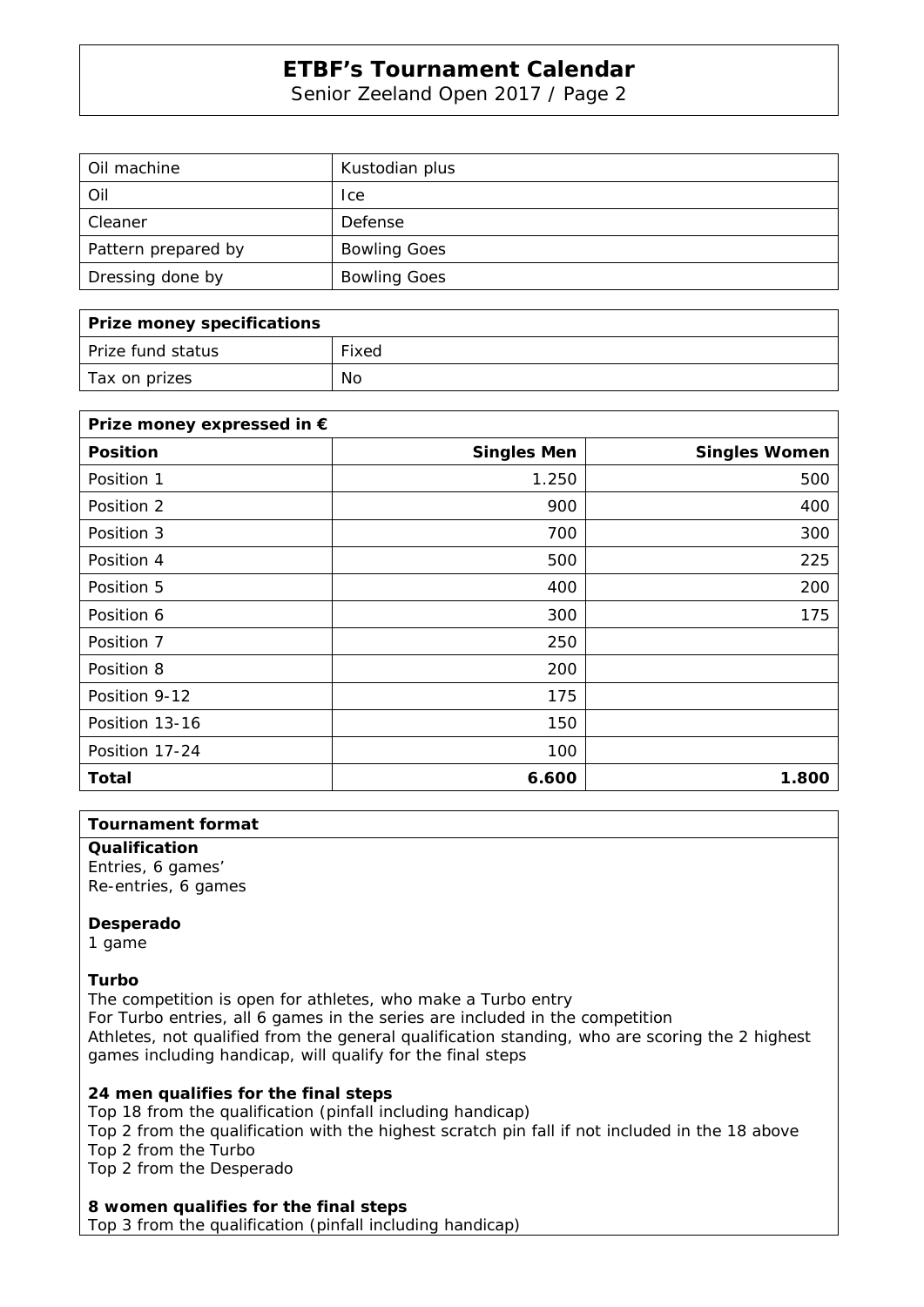Senior Zeeland Open 2017 / Page 2

| Oil machine         | Kustodian plus      |
|---------------------|---------------------|
| Oil                 | <sub>l</sub> ce     |
| Cleaner             | Defense             |
| Pattern prepared by | <b>Bowling Goes</b> |
| Dressing done by    | <b>Bowling Goes</b> |

| Prize money specifications |       |
|----------------------------|-------|
| Prize fund status          | Fixed |
| Tax on prizes              | No    |

| Prize money expressed in € |                    |                      |  |  |
|----------------------------|--------------------|----------------------|--|--|
| <b>Position</b>            | <b>Singles Men</b> | <b>Singles Women</b> |  |  |
| Position 1                 | 1.250              | 500                  |  |  |
| Position 2                 | 900                | 400                  |  |  |
| Position 3                 | 700                | 300                  |  |  |
| Position 4                 | 500                | 225                  |  |  |
| Position 5                 | 400                | 200                  |  |  |
| Position 6                 | 300                | 175                  |  |  |
| Position 7                 | 250                |                      |  |  |
| Position 8                 | 200                |                      |  |  |
| Position 9-12              | 175                |                      |  |  |
| Position 13-16             | 150                |                      |  |  |
| Position 17-24             | 100                |                      |  |  |
| Total                      | 6.600              | 1.800                |  |  |

#### **Tournament format**

**Qualification**  Entries, 6 games'

Re-entries, 6 games

#### **Desperado**

1 game

#### **Turbo**

The competition is open for athletes, who make a Turbo entry For Turbo entries, all 6 games in the series are included in the competition Athletes, not qualified from the general qualification standing, who are scoring the 2 highest games including handicap, will qualify for the final steps

### **24 men qualifies for the final steps**

Top 18 from the qualification (pinfall including handicap)

Top 2 from the qualification with the highest scratch pin fall if not included in the 18 above Top 2 from the Turbo

Top 2 from the Desperado

#### **8 women qualifies for the final steps**

Top 3 from the qualification (pinfall including handicap)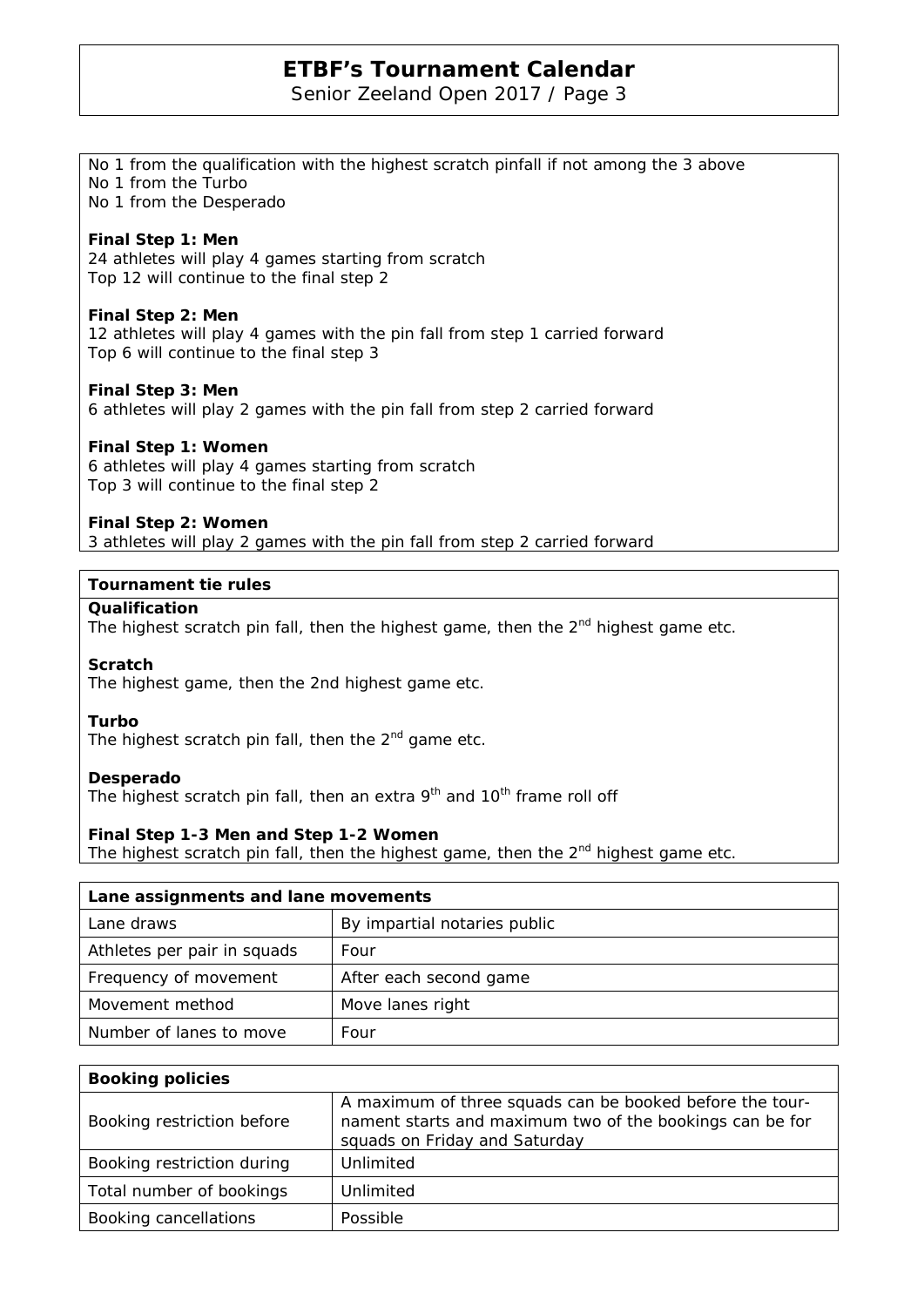Senior Zeeland Open 2017 / Page 3

No 1 from the qualification with the highest scratch pinfall if not among the 3 above

| No 1 from the Turbo<br>No 1 from the Desperado                                                                                           |                                                                                                                        |  |  |  |
|------------------------------------------------------------------------------------------------------------------------------------------|------------------------------------------------------------------------------------------------------------------------|--|--|--|
| Final Step 1: Men<br>24 athletes will play 4 games starting from scratch<br>Top 12 will continue to the final step 2                     |                                                                                                                        |  |  |  |
| Final Step 2: Men                                                                                                                        | 12 athletes will play 4 games with the pin fall from step 1 carried forward<br>Top 6 will continue to the final step 3 |  |  |  |
| Final Step 3: Men                                                                                                                        | 6 athletes will play 2 games with the pin fall from step 2 carried forward                                             |  |  |  |
| Final Step 1: Women<br>6 athletes will play 4 games starting from scratch<br>Top 3 will continue to the final step 2                     |                                                                                                                        |  |  |  |
| Final Step 2: Women                                                                                                                      | 3 athletes will play 2 games with the pin fall from step 2 carried forward                                             |  |  |  |
| <b>Tournament tie rules</b>                                                                                                              |                                                                                                                        |  |  |  |
| Qualification<br>The highest scratch pin fall, then the highest game, then the 2 <sup>nd</sup> highest game etc.                         |                                                                                                                        |  |  |  |
| <b>Scratch</b><br>The highest game, then the 2nd highest game etc.                                                                       |                                                                                                                        |  |  |  |
| Turbo<br>The highest scratch pin fall, then the 2 <sup>nd</sup> game etc.                                                                |                                                                                                                        |  |  |  |
| Desperado<br>The highest scratch pin fall, then an extra 9 <sup>th</sup> and 10 <sup>th</sup> frame roll off                             |                                                                                                                        |  |  |  |
| Final Step 1-3 Men and Step 1-2 Women<br>The highest scratch pin fall, then the highest game, then the 2 <sup>nd</sup> highest game etc. |                                                                                                                        |  |  |  |
| Lane assignments and lane movements                                                                                                      |                                                                                                                        |  |  |  |
| Lane draws                                                                                                                               | By impartial notaries public                                                                                           |  |  |  |
| Athletes per pair in squads                                                                                                              | Four                                                                                                                   |  |  |  |
| Frequency of movement                                                                                                                    | After each second game                                                                                                 |  |  |  |
| Movement method                                                                                                                          | Move lanes right                                                                                                       |  |  |  |
|                                                                                                                                          |                                                                                                                        |  |  |  |

| <b>Booking policies</b>    |                                                                                                                                                       |  |  |  |
|----------------------------|-------------------------------------------------------------------------------------------------------------------------------------------------------|--|--|--|
| Booking restriction before | A maximum of three squads can be booked before the tour-<br>nament starts and maximum two of the bookings can be for<br>squads on Friday and Saturday |  |  |  |
| Booking restriction during | Unlimited                                                                                                                                             |  |  |  |
| Total number of bookings   | Unlimited                                                                                                                                             |  |  |  |
| Booking cancellations      | Possible                                                                                                                                              |  |  |  |